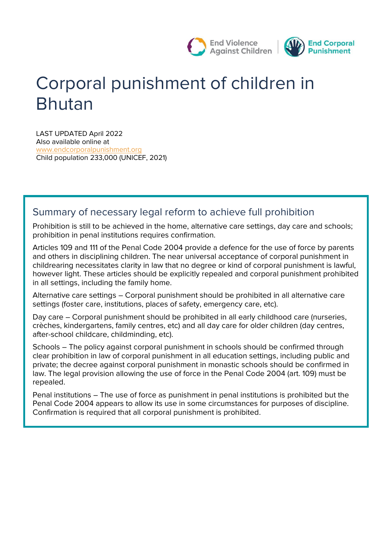

# **Corporal punishment of children in Bhutan**

LAST UPDATED April 2022 Also available online at [www.endcorporalpunishment.org](http://www.endcorporalpunishment.org/) **Child population** 233,000 (UNICEF, 2021)

# **Summary of necessary legal reform to achieve full prohibition**

Prohibition is still to be achieved in the home, alternative care settings, day care and schools; prohibition in penal institutions requires confirmation.

Articles 109 and 111 of the Penal Code 2004 provide a defence for the use of force by parents and others in disciplining children. The near universal acceptance of corporal punishment in childrearing necessitates clarity in law that no degree or kind of corporal punishment is lawful, however light. These articles should be explicitly repealed and corporal punishment prohibited in all settings, including the family home.

Alternative care settings – Corporal punishment should be prohibited in all alternative care settings (foster care, institutions, places of safety, emergency care, etc).

Day care – Corporal punishment should be prohibited in all early childhood care (nurseries, crèches, kindergartens, family centres, etc) and all day care for older children (day centres, after-school childcare, childminding, etc).

Schools – The policy against corporal punishment in schools should be confirmed through clear prohibition in law of corporal punishment in all education settings, including public and private; the decree against corporal punishment in monastic schools should be confirmed in law. The legal provision allowing the use of force in the Penal Code 2004 (art. 109) must be repealed.

Penal institutions – The use of force as punishment in penal institutions is prohibited but the Penal Code 2004 appears to allow its use in some circumstances for purposes of discipline. Confirmation is required that all corporal punishment is prohibited.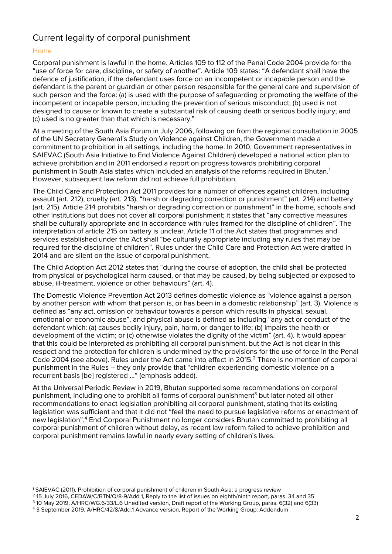## **Current legality of corporal punishment**

#### **Home**

Corporal punishment is lawful in the home. Articles 109 to 112 of the Penal Code 2004 provide for the "use of force for care, discipline, or safety of another". Article 109 states: "A defendant shall have the defence of justification, if the defendant uses force on an incompetent or incapable person and the defendant is the parent or guardian or other person responsible for the general care and supervision of such person and the force: (a) is used with the purpose of safeguarding or promoting the welfare of the incompetent or incapable person, including the prevention of serious misconduct; (b) used is not designed to cause or known to create a substantial risk of causing death or serious bodily injury; and (c) used is no greater than that which is necessary."

At a meeting of the South Asia Forum in July 2006, following on from the regional consultation in 2005 of the UN Secretary General's Study on Violence against Children, the Government made a commitment to prohibition in all settings, including the home. In 2010, Government representatives in SAIEVAC (South Asia Initiative to End Violence Against Children) developed a national action plan to achieve prohibition and in 2011 endorsed a report on progress towards prohibiting corporal punishment in South Asia states which included an analysis of the reforms required in Bhutan.<sup>1</sup> However, subsequent law reform did not achieve full prohibition.

The Child Care and Protection Act 2011 provides for a number of offences against children, including assault (art. 212), cruelty (art. 213), "harsh or degrading correction or punishment" (art. 214) and battery (art. 215). Article 214 prohibits "harsh or degrading correction or punishment" in the home, schools and other institutions but does not cover all corporal punishment; it states that "any corrective measures shall be culturally appropriate and in accordance with rules framed for the discipline of children". The interpretation of article 215 on battery is unclear. Article 11 of the Act states that programmes and services established under the Act shall "be culturally appropriate including any rules that may be required for the discipline of children". Rules under the Child Care and Protection Act were drafted in 2014 and are silent on the issue of corporal punishment.

The Child Adoption Act 2012 states that "during the course of adoption, the child shall be protected from physical or psychological harm caused, or that may be caused, by being subjected or exposed to abuse, ill-treatment, violence or other behaviours" (art. 4).

The Domestic Violence Prevention Act 2013 defines domestic violence as "violence against a person by another person with whom that person is, or has been in a domestic relationship" (art. 3). Violence is defined as "any act, omission or behaviour towards a person which results in physical, sexual, emotional or economic abuse", and physical abuse is defined as including "any act or conduct of the defendant which: (a) causes bodily injury, pain, harm, or danger to life; (b) impairs the health or development of the victim; or (c) otherwise violates the dignity of the victim" (art. 4). It would appear that this could be interpreted as prohibiting all corporal punishment, but the Act is not clear in this respect and the protection for children is undermined by the provisions for the use of force in the Penal Code 2004 (see above). Rules under the Act came into effect in 2015.<sup>2</sup> There is no mention of corporal punishment in the Rules – they only provide that "children experiencing domestic violence on a recurrent basis [be] registered …" (emphasis added).

At the Universal Periodic Review in 2019, Bhutan supported some recommendations on corporal punishment, including one to prohibit all forms of corporal punishment<sup>3</sup> but later noted all other recommendations to enact legislation prohibiting all corporal punishment, stating that its existing legislation was sufficient and that it did not "feel the need to pursue legislative reforms or enactment of new legislation".<sup>4</sup> End Corporal Punishment no longer considers Bhutan committed to prohibiting all corporal punishment of children without delay, as recent law reform failed to achieve prohibition and corporal punishment remains lawful in nearly every setting of children's lives.

<sup>1</sup> SAIEVAC (2011), Prohibition of corporal punishment of children in South Asia: a progress review

<sup>2</sup> 15 July 2016, CEDAW/C/BTN/Q/8-9/Add.1, Reply to the list of issues on eighth/ninth report, paras. 34 and 35

<sup>3</sup> 10 May 2019, A/HRC/WG.6/33/L.6 Unedited version, Draft report of the Working Group, paras. 6(32) and 6(33)

<sup>4</sup> 3 September 2019, A/HRC/42/8/Add.1 Advance version, Report of the Working Group: Addendum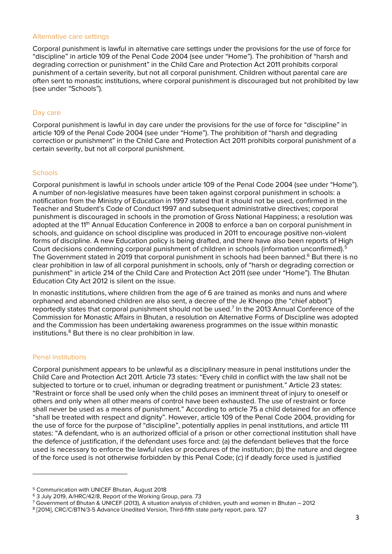#### **Alternative care settings**

Corporal punishment is lawful in alternative care settings under the provisions for the use of force for "discipline" in article 109 of the Penal Code 2004 (see under "Home"). The prohibition of "harsh and degrading correction or punishment" in the Child Care and Protection Act 2011 prohibits corporal punishment of a certain severity, but not all corporal punishment. Children without parental care are often sent to monastic institutions, where corporal punishment is discouraged but not prohibited by law (see under "Schools").

#### **Day care**

Corporal punishment is lawful in day care under the provisions for the use of force for "discipline" in article 109 of the Penal Code 2004 (see under "Home"). The prohibition of "harsh and degrading correction or punishment" in the Child Care and Protection Act 2011 prohibits corporal punishment of a certain severity, but not all corporal punishment.

#### **Schools**

Corporal punishment is lawful in schools under article 109 of the Penal Code 2004 (see under "Home"). A number of non-legislative measures have been taken against corporal punishment in schools: a notification from the Ministry of Education in 1997 stated that it should not be used, confirmed in the Teacher and Student's Code of Conduct 1997 and subsequent administrative directives; corporal punishment is discouraged in schools in the promotion of Gross National Happiness; a resolution was adopted at the 11<sup>th</sup> Annual Education Conference in 2008 to enforce a ban on corporal punishment in schools, and guidance on school discipline was produced in 2011 to encourage positive non-violent forms of discipline. A new Education policy is being drafted, and there have also been reports of High Court decisions condemning corporal punishment of children in schools (information unconfirmed).<sup>5</sup> The Government stated in 2019 that corporal punishment in schools had been banned.<sup>6</sup> But there is no clear prohibition in law of all corporal punishment in schools, only of "harsh or degrading correction or punishment" in article 214 of the Child Care and Protection Act 2011 (see under "Home"). The Bhutan Education City Act 2012 is silent on the issue.

In monastic institutions, where children from the age of 6 are trained as monks and nuns and where orphaned and abandoned children are also sent, a decree of the Je Khenpo (the "chief abbot") reportedly states that corporal punishment should not be used.<sup>7</sup> In the 2013 Annual Conference of the Commission for Monastic Affairs in Bhutan, a resolution on Alternative Forms of Discipline was adopted and the Commission has been undertaking awareness programmes on the issue within monastic institutions.<sup>8</sup> But there is no clear prohibition in law.

#### **Penal institutions**

Corporal punishment appears to be unlawful as a disciplinary measure in penal institutions under the Child Care and Protection Act 2011. Article 73 states: "Every child in conflict with the law shall not be subjected to torture or to cruel, inhuman or degrading treatment or punishment." Article 23 states: "Restraint or force shall be used only when the child poses an imminent threat of injury to oneself or others and only when all other means of control have been exhausted. The use of restraint or force shall never be used as a means of punishment." According to article 75 a child detained for an offence "shall be treated with respect and dignity". However, article 109 of the Penal Code 2004, providing for the use of force for the purpose of "discipline", potentially applies in penal institutions, and article 111 states: "A defendant, who is an authorized official of a prison or other correctional institution shall have the defence of justification, if the defendant uses force and: (a) the defendant believes that the force used is necessary to enforce the lawful rules or procedures of the institution; (b) the nature and degree of the force used is not otherwise forbidden by this Penal Code; (c) if deadly force used is justified

<sup>5</sup> Communication with UNICEF Bhutan, August 2018

<sup>6</sup> 3 July 2019, A/HRC/42/8, Report of the Working Group, para. 73

<sup>7</sup> Government of Bhutan & UNICEF (2013), A situation analysis of children, youth and women in Bhutan – 2012

<sup>8</sup> [2014], CRC/C/BTN/3-5 Advance Unedited Version, Third-fifth state party report, para. 127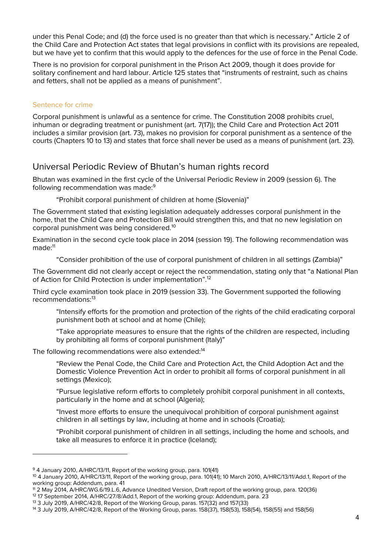under this Penal Code; and (d) the force used is no greater than that which is necessary." Article 2 of the Child Care and Protection Act states that legal provisions in conflict with its provisions are repealed, but we have yet to confirm that this would apply to the defences for the use of force in the Penal Code.

There is no provision for corporal punishment in the Prison Act 2009, though it does provide for solitary confinement and hard labour. Article 125 states that "instruments of restraint, such as chains and fetters, shall not be applied as a means of punishment".

#### **Sentence for crime**

Corporal punishment is unlawful as a sentence for crime. The Constitution 2008 prohibits cruel, inhuman or degrading treatment or punishment (art. 7(17)); the Child Care and Protection Act 2011 includes a similar provision (art. 73), makes no provision for corporal punishment as a sentence of the courts (Chapters 10 to 13) and states that force shall never be used as a means of punishment (art. 23).

## **Universal Periodic Review of Bhutan's human rights record**

Bhutan was examined in the first cycle of the Universal Periodic Review in 2009 (session 6). The following recommendation was made:<sup>9</sup>

"Prohibit corporal punishment of children at home (Slovenia)"

The Government stated that existing legislation adequately addresses corporal punishment in the home, that the Child Care and Protection Bill would strengthen this, and that no new legislation on corporal punishment was being considered.<sup>10</sup>

Examination in the second cycle took place in 2014 (session 19). The following recommendation was made:<sup>11</sup>

"Consider prohibition of the use of corporal punishment of children in all settings (Zambia)"

The Government did not clearly accept or reject the recommendation, stating only that "a National Plan of Action for Child Protection is under implementation".<sup>12</sup>

Third cycle examination took place in 2019 (session 33). The Government supported the following recommendations:<sup>13</sup>

"Intensify efforts for the promotion and protection of the rights of the child eradicating corporal punishment both at school and at home (Chile);

"Take appropriate measures to ensure that the rights of the children are respected, including by prohibiting all forms of corporal punishment (Italy)"

The following recommendations were also extended:<sup>14</sup>

"Review the Penal Code, the Child Care and Protection Act, the Child Adoption Act and the Domestic Violence Prevention Act in order to prohibit all forms of corporal punishment in all settings (Mexico);

"Pursue legislative reform efforts to completely prohibit corporal punishment in all contexts, particularly in the home and at school (Algeria);

"Invest more efforts to ensure the unequivocal prohibition of corporal punishment against children in all settings by law, including at home and in schools (Croatia);

"Prohibit corporal punishment of children in all settings, including the home and schools, and take all measures to enforce it in practice (Iceland);

<sup>9</sup> 4 January 2010, A/HRC/13/11, Report of the working group, para. 101(41)

<sup>10</sup> 4 January 2010, A/HRC/13/11, Report of the working group, para. 101(41); 10 March 2010, A/HRC/13/11/Add.1, Report of the working group: Addendum, para. 41

<sup>11</sup> 2 May 2014, A/HRC/WG.6/19.L.6, Advance Unedited Version, Draft report of the working group, para. 120(36)

<sup>&</sup>lt;sup>12</sup> 17 September 2014, A/HRC/27/8/Add.1, Report of the working group: Addendum, para. 23

<sup>13</sup> 3 July 2019, A/HRC/42/8, Report of the Working Group, paras. 157(32) and 157(33)

<sup>14</sup> 3 July 2019, A/HRC/42/8, Report of the Working Group, paras. 158(37), 158(53), 158(54), 158(55) and 158(56)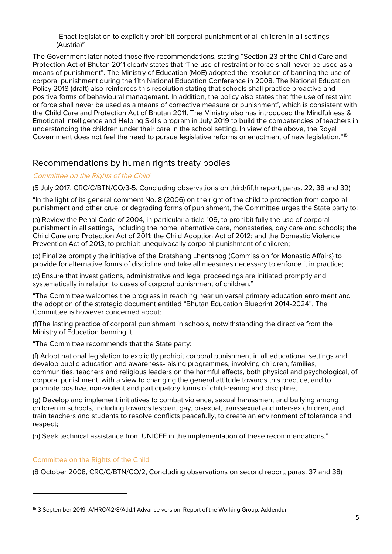"Enact legislation to explicitly prohibit corporal punishment of all children in all settings (Austria)"

The Government later noted those five recommendations, stating "Section 23 of the Child Care and Protection Act of Bhutan 2011 clearly states that 'The use of restraint or force shall never be used as a means of punishment". The Ministry of Education (MoE) adopted the resolution of banning the use of corporal punishment during the 11th National Education Conference in 2008. The National Education Policy 2018 (draft) also reinforces this resolution stating that schools shall practice proactive and positive forms of behavioural management. In addition, the policy also states that 'the use of restraint or force shall never be used as a means of corrective measure or punishment', which is consistent with the Child Care and Protection Act of Bhutan 2011. The Ministry also has introduced the Mindfulness & Emotional Intelligence and Helping Skills program in July 2019 to build the competencies of teachers in understanding the children under their care in the school setting. In view of the above, the Royal Government does not feel the need to pursue legislative reforms or enactment of new legislation."<sup>15</sup>

## **Recommendations by human rights treaty bodies**

#### **Committee on the Rights of the Child**

(5 July 2017, CRC/C/BTN/CO/3-5, Concluding observations on third/fifth report, paras. 22, 38 and 39)

"In the light of its general comment No. 8 (2006) on the right of the child to protection from corporal punishment and other cruel or degrading forms of punishment, the Committee urges the State party to:

(a) Review the Penal Code of 2004, in particular article 109, to prohibit fully the use of corporal punishment in all settings, including the home, alternative care, monasteries, day care and schools; the Child Care and Protection Act of 2011; the Child Adoption Act of 2012; and the Domestic Violence Prevention Act of 2013, to prohibit unequivocally corporal punishment of children;

(b) Finalize promptly the initiative of the Dratshang Lhentshog (Commission for Monastic Affairs) to provide for alternative forms of discipline and take all measures necessary to enforce it in practice;

(c) Ensure that investigations, administrative and legal proceedings are initiated promptly and systematically in relation to cases of corporal punishment of children."

"The Committee welcomes the progress in reaching near universal primary education enrolment and the adoption of the strategic document entitled "Bhutan Education Blueprint 2014-2024". The Committee is however concerned about:

(f)The lasting practice of corporal punishment in schools, notwithstanding the directive from the Ministry of Education banning it.

"The Committee recommends that the State party:

(f) Adopt national legislation to explicitly prohibit corporal punishment in all educational settings and develop public education and awareness-raising programmes, involving children, families, communities, teachers and religious leaders on the harmful effects, both physical and psychological, of corporal punishment, with a view to changing the general attitude towards this practice, and to promote positive, non-violent and participatory forms of child-rearing and discipline;

(g) Develop and implement initiatives to combat violence, sexual harassment and bullying among children in schools, including towards lesbian, gay, bisexual, transsexual and intersex children, and train teachers and students to resolve conflicts peacefully, to create an environment of tolerance and respect;

(h) Seek technical assistance from UNICEF in the implementation of these recommendations."

#### Committee on the Rights of the Child

(8 October 2008, CRC/C/BTN/CO/2, Concluding observations on second report, paras. 37 and 38)

<sup>15</sup> 3 September 2019, A/HRC/42/8/Add.1 Advance version, Report of the Working Group: Addendum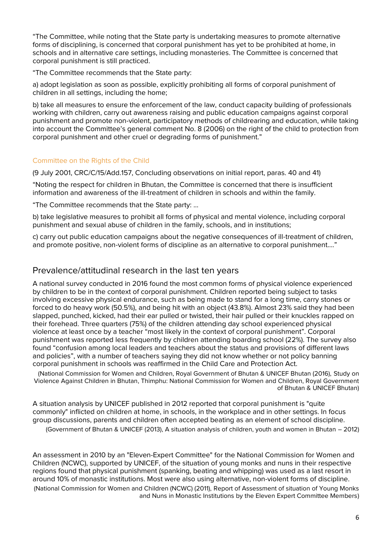"The Committee, while noting that the State party is undertaking measures to promote alternative forms of disciplining, is concerned that corporal punishment has yet to be prohibited at home, in schools and in alternative care settings, including monasteries. The Committee is concerned that corporal punishment is still practiced.

"The Committee recommends that the State party:

a) adopt legislation as soon as possible, explicitly prohibiting all forms of corporal punishment of children in all settings, including the home;

b) take all measures to ensure the enforcement of the law, conduct capacity building of professionals working with children, carry out awareness raising and public education campaigns against corporal punishment and promote non-violent, participatory methods of childrearing and education, while taking into account the Committee's general comment No. 8 (2006) on the right of the child to protection from corporal punishment and other cruel or degrading forms of punishment."

#### Committee on the Rights of the Child

(9 July 2001, CRC/C/15/Add.157, Concluding observations on initial report, paras. 40 and 41)

"Noting the respect for children in Bhutan, the Committee is concerned that there is insufficient information and awareness of the ill-treatment of children in schools and within the family.

"The Committee recommends that the State party: ...

b) take legislative measures to prohibit all forms of physical and mental violence, including corporal punishment and sexual abuse of children in the family, schools, and in institutions;

c) carry out public education campaigns about the negative consequences of ill-treatment of children, and promote positive, non-violent forms of discipline as an alternative to corporal punishment...."

## **Prevalence/attitudinal research in the last ten years**

A national survey conducted in 2016 found the most common forms of physical violence experienced by children to be in the context of corporal punishment. Children reported being subject to tasks involving excessive physical endurance, such as being made to stand for a long time, carry stones or forced to do heavy work (50.5%), and being hit with an object (43.8%). Almost 23% said they had been slapped, punched, kicked, had their ear pulled or twisted, their hair pulled or their knuckles rapped on their forehead. Three quarters (75%) of the children attending day school experienced physical violence at least once by a teacher "most likely in the context of corporal punishment". Corporal punishment was reported less frequently by children attending boarding school (22%). The survey also found "confusion among local leaders and teachers about the status and provisions of different laws and policies", with a number of teachers saying they did not know whether or not policy banning corporal punishment in schools was reaffirmed in the Child Care and Protection Act.

(National Commission for Women and Children, Royal Government of Bhutan & UNICEF Bhutan (2016), Study on Violence Against Children in Bhutan, Thimphu: National Commission for Women and Children, Royal Government of Bhutan & UNICEF Bhutan)

A situation analysis by UNICEF published in 2012 reported that corporal punishment is "quite commonly" inflicted on children at home, in schools, in the workplace and in other settings. In focus group discussions, parents and children often accepted beating as an element of school discipline.

(Government of Bhutan & UNICEF (2013), A situation analysis of children, youth and women in Bhutan – 2012)

An assessment in 2010 by an "Eleven-Expert Committee" for the National Commission for Women and Children (NCWC), supported by UNICEF, of the situation of young monks and nuns in their respective regions found that physical punishment (spanking, beating and whipping) was used as a last resort in around 10% of monastic institutions. Most were also using alternative, non-violent forms of discipline. (National Commission for Women and Children (NCWC) (2011), Report of Assessment of situation of Young Monks and Nuns in Monastic Institutions by the Eleven Expert Committee Members)